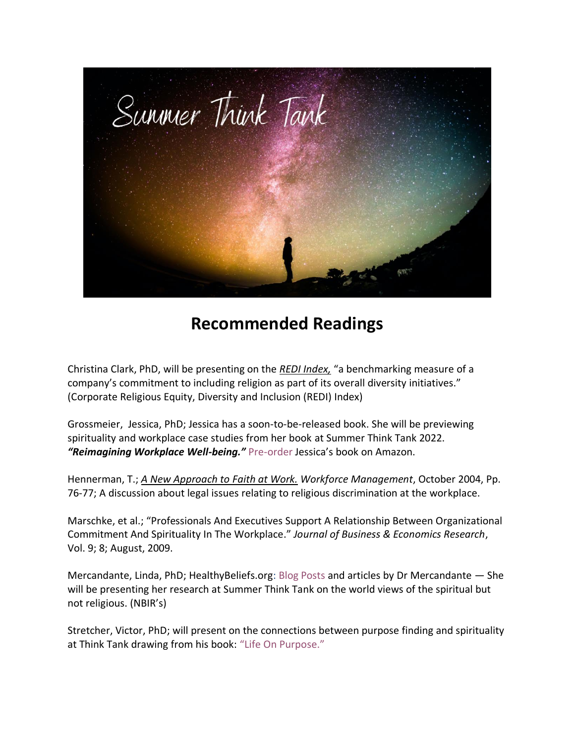

## **Recommended Readings**

Christina Clark, PhD, will be presenting on the *[REDI Index,](https://religiousfreedomandbusiness.org/redi)* "a benchmarking measure of a company's commitment to including religion as part of its overall diversity initiatives." (Corporate Religious Equity, Diversity and Inclusion (REDI) Index)

Grossmeier, Jessica, PhD; Jessica has a soon-to-be-released book. She will be previewing spirituality and workplace case studies from her book at Summer Think Tank 2022. *"Reimagining Workplace Well-being."* [Pre-order](https://www.amazon.com/Reimagining-Workplace-Well-being-Connection-Transcendence-ebook/dp/B09X3PTDH1) Jessica's book on Amazon.

Hennerman, T.; *[A New Approach to](https://workforce.com/news/a-new-approach-to-fatih-at-work) Faith at Work. Workforce Management*, October 2004, Pp. 76-77; A discussion about legal issues relating to religious discrimination at the workplace.

Marschke, et al.; "[Professionals And Executives Support A Relationship Between Organizational](https://clutejournals.com/index.php/JBER/article/view/2320/2368)  [Commitment And Spirituality In The Workplace](https://clutejournals.com/index.php/JBER/article/view/2320/2368)." *Journal of Business & Economics Research*, Vol. 9; 8; August, 2009.

Mercandante, Linda, PhD; HealthyBeliefs.org: [Blog Posts](https://www.healthybeliefs.org/blog/) and articles by Dr Mercandante — She will be presenting her research at Summer Think Tank on the world views of the spiritual but not religious. (NBIR's)

Stretcher, Victor, PhD; will present on the connections between purpose finding and spirituality at Think Tank drawing from his book: ["Life On Purpose."](https://www.amazon.com/Life-Purpose-Matters-Changes-Everything-ebook/dp/B01416479S/ref=sr_1_1?crid=27WXDVI8HUS12&keywords=strecher+on+Purpose&qid=1651770064&s=digital-text&sprefix=strecher+on+purpose%2Cdigital-text%2C111&sr=1-1)